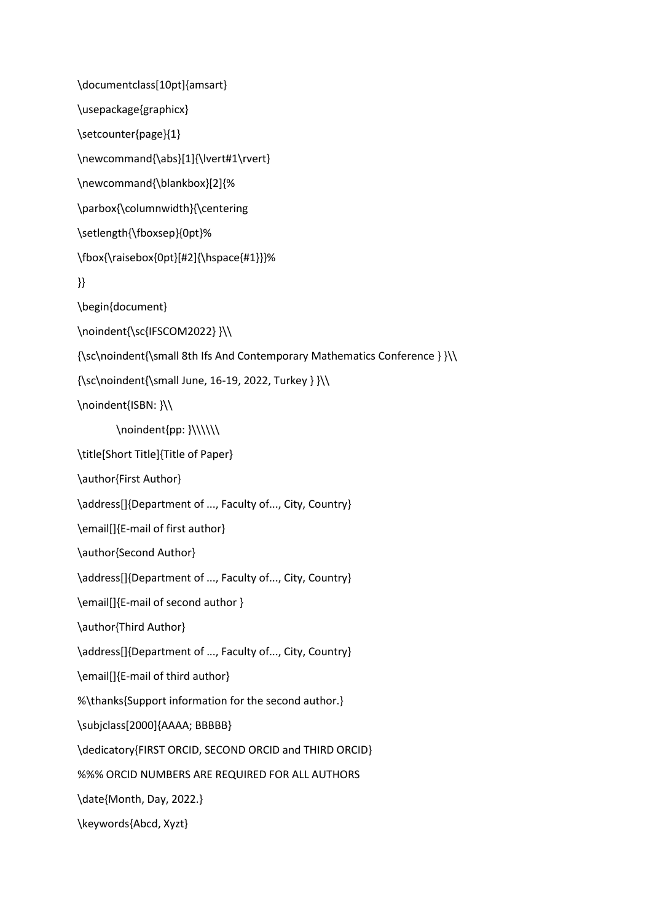\documentclass[10pt]{amsart} \usepackage{graphicx} \setcounter{page}{1} \newcommand{\abs}[1]{\lvert#1\rvert} \newcommand{\blankbox}[2]{% \parbox{\columnwidth}{\centering \setlength{\fboxsep}{0pt}% \fbox{\raisebox{0pt}[#2]{\hspace{#1}}}% }} \begin{document} \noindent{\sc{IFSCOM2022} }\\ {\sc\noindent{\small 8th Ifs And Contemporary Mathematics Conference } }\\ {\sc\noindent{\small June, 16-19, 2022, Turkey } }\\ \noindent{ISBN: }\\ \noindent{pp: }\\\\\\ \title[Short Title]{Title of Paper} \author{First Author} \address[]{Department of ..., Faculty of..., City, Country} \email[]{E-mail of first author} \author{Second Author} \address[]{Department of ..., Faculty of..., City, Country} \email[]{E-mail of second author } \author{Third Author} \address[]{Department of ..., Faculty of..., City, Country} \email[]{E-mail of third author} %\thanks{Support information for the second author.} \subjclass[2000]{AAAA; BBBBB} \dedicatory{FIRST ORCID, SECOND ORCID and THIRD ORCID} %%% ORCID NUMBERS ARE REQUIRED FOR ALL AUTHORS \date{Month, Day, 2022.} \keywords{Abcd, Xyzt}